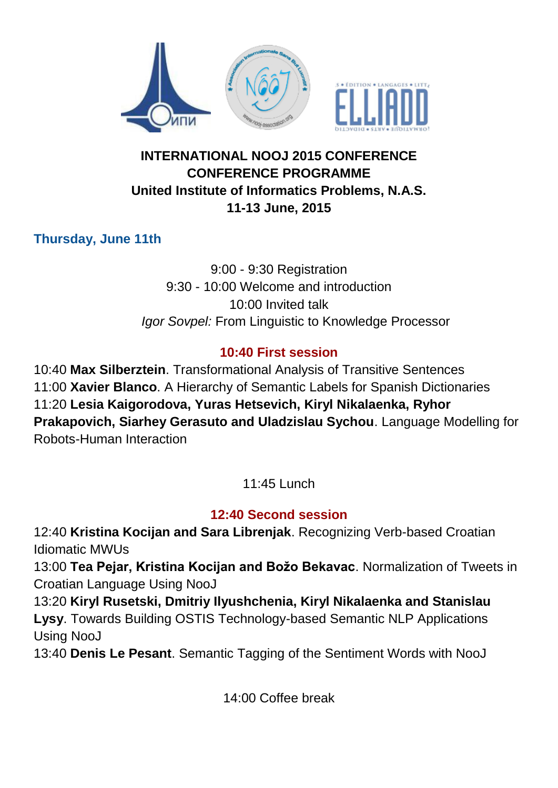

## **INTERNATIONAL NOOJ 2015 CONFERENCE CONFERENCE PROGRAMME United Institute of Informatics Problems, N.A.S. 11-13 June, 2015**

**Thursday, June 11th**

9:00 - 9:30 Registration 9:30 - 10:00 Welcome and introduction 10:00 Invited talk *Igor Sovpel:* From Linguistic to Knowledge Processor

## **10:40 First session**

10:40 **Max Silberztein**. Transformational Analysis of Transitive Sentences 11:00 **Xavier Blanco**. A Hierarchy of Semantic Labels for Spanish Dictionaries 11:20 **Lesia Kaigorodova, Yuras Hetsevich, Kiryl Nikalaenka, Ryhor Prakapovich, Siarhey Gerasuto and Uladzislau Sychou**. Language Modelling for Robots-Human Interaction

11:45 Lunch

# **12:40 Second session**

12:40 **Kristina Kocijan and Sara Librenjak**. Recognizing Verb-based Croatian Idiomatic MWUs

13:00 **Tea Pejar, Kristina Kocijan and Božo Bekavac**. Normalization of Tweets in Croatian Language Using NooJ

13:20 **Kiryl Rusetski, Dmitriy Ilyushchenia, Kiryl Nikalaenka and Stanislau Lysy**. Towards Building OSTIS Technology-based Semantic NLP Applications Using NooJ

13:40 **Denis Le Pesant**. Semantic Tagging of the Sentiment Words with NooJ

14:00 Coffee break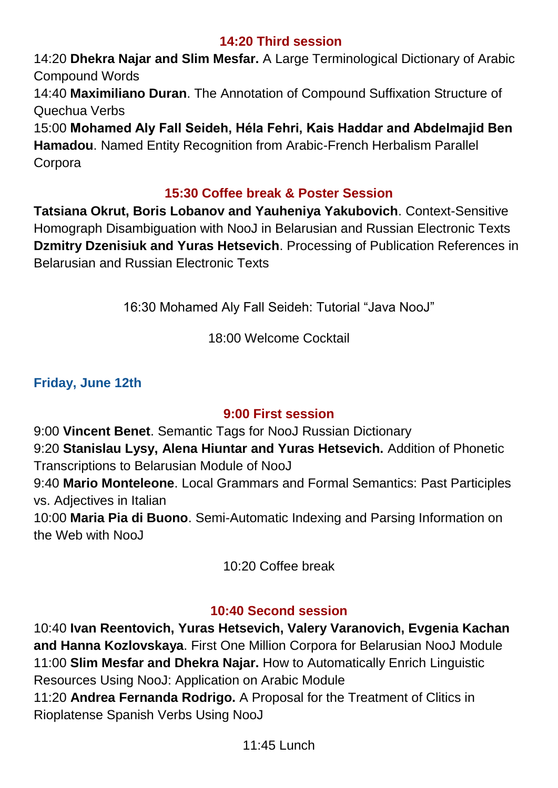#### **14:20 Third session**

14:20 **Dhekra Najar and Slim Mesfar.** A Large Terminological Dictionary of Arabic Compound Words 14:40 **Maximiliano Duran**. The Annotation of Compound Suffixation Structure of Quechua Verbs 15:00 **Mohamed Aly Fall Seideh, Héla Fehri, Kais Haddar and Abdelmajid Ben** 

**Hamadou**. Named Entity Recognition from Arabic-French Herbalism Parallel Corpora

#### **15:30 Coffee break & Poster Session**

**Tatsiana Okrut, Boris Lobanov and Yauheniya Yakubovich**. Context-Sensitive Homograph Disambiguation with NooJ in Belarusian and Russian Electronic Texts **Dzmitry Dzenisiuk and Yuras Hetsevich**. Processing of Publication References in Belarusian and Russian Electronic Texts

16:30 Mohamed Aly Fall Seideh: Tutorial "Java NooJ"

18:00 Welcome Cocktail

**Friday, June 12th**

#### **9:00 First session**

9:00 **Vincent Benet**. Semantic Tags for NooJ Russian Dictionary 9:20 **Stanislau Lysy, Alena Hiuntar and Yuras Hetsevich.** Addition of Phonetic

Transcriptions to Belarusian Module of NooJ 9:40 **Mario Monteleone**. Local Grammars and Formal Semantics: Past Participles vs. Adjectives in Italian

10:00 **Maria Pia di Buono**. Semi-Automatic Indexing and Parsing Information on the Web with NooJ

10:20 Coffee break

#### **10:40 Second session**

10:40 **Ivan Reentovich, Yuras Hetsevich, Valery Varanovich, Evgenia Kachan and Hanna Kozlovskaya**. First One Million Corpora for Belarusian NooJ Module 11:00 **Slim Mesfar and Dhekra Najar.** How to Automatically Enrich Linguistic Resources Using NooJ: Application on Arabic Module 11:20 **Andrea Fernanda Rodrigo.** A Proposal for the Treatment of Clitics in Rioplatense Spanish Verbs Using NooJ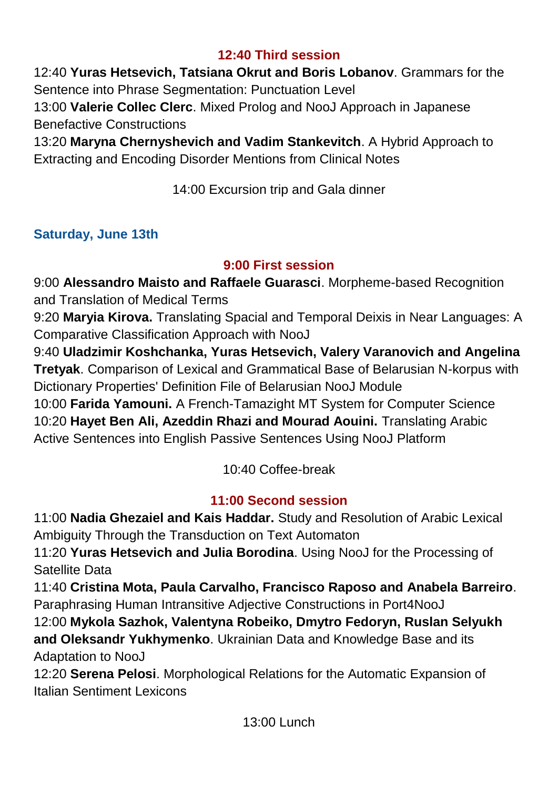### **12:40 Third session**

12:40 **Yuras Hetsevich, Tatsiana Okrut and Boris Lobanov**. Grammars for the Sentence into Phrase Segmentation: Punctuation Level 13:00 **Valerie Collec Clerc**. Mixed Prolog and NooJ Approach in Japanese Benefactive Constructions

13:20 **Maryna Chernyshevich and Vadim Stankevitch**. A Hybrid Approach to Extracting and Encoding Disorder Mentions from Clinical Notes

14:00 Excursion trip and Gala dinner

## **Saturday, June 13th**

### **9:00 First session**

9:00 **Alessandro Maisto and Raffaele Guarasci**. Morpheme-based Recognition and Translation of Medical Terms

9:20 **Maryia Kirova.** Translating Spacial and Temporal Deixis in Near Languages: A Comparative Classification Approach with NooJ

9:40 **Uladzimir Koshchanka, Yuras Hetsevich, Valery Varanovich and Angelina Tretyak**. Comparison of Lexical and Grammatical Base of Belarusian N-korpus with Dictionary Properties' Definition File of Belarusian NooJ Module 10:00 **Farida Yamouni.** A French-Tamazight MT System for Computer Science 10:20 **Hayet Ben Ali, Azeddin Rhazi and Mourad Aouini.** Translating Arabic Active Sentences into English Passive Sentences Using NooJ Platform

10:40 Coffee-break

# **11:00 Second session**

11:00 **Nadia Ghezaiel and Kais Haddar.** Study and Resolution of Arabic Lexical Ambiguity Through the Transduction on Text Automaton

11:20 **Yuras Hetsevich and Julia Borodina**. Using NooJ for the Processing of Satellite Data

11:40 **Cristina Mota, Paula Carvalho, Francisco Raposo and Anabela Barreiro**. Paraphrasing Human Intransitive Adjective Constructions in Port4NooJ

12:00 **Mykola Sazhok, Valentyna Robeiko, Dmytro Fedoryn, Ruslan Selyukh and Oleksandr Yukhymenko**. Ukrainian Data and Knowledge Base and its Adaptation to NooJ

12:20 **Serena Pelosi**. Morphological Relations for the Automatic Expansion of Italian Sentiment Lexicons